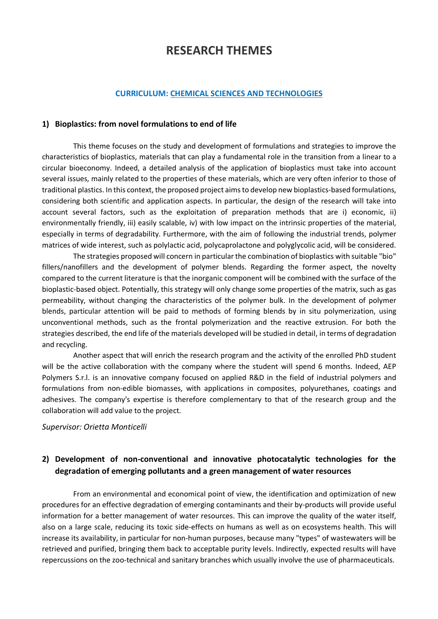# **RESEARCH THEMES**

#### **CURRICULUM: CHEMICAL SCIENCES AND TECHNOLOGIES**

#### **1) Bioplastics: from novel formulations to end of life**

This theme focuses on the study and development of formulations and strategies to improve the characteristics of bioplastics, materials that can play a fundamental role in the transition from a linear to a circular bioeconomy. Indeed, a detailed analysis of the application of bioplastics must take into account several issues, mainly related to the properties of these materials, which are very often inferior to those of traditional plastics. In this context, the proposed project aims to develop new bioplastics-based formulations, considering both scientific and application aspects. In particular, the design of the research will take into account several factors, such as the exploitation of preparation methods that are i) economic, ii) environmentally friendly, iii) easily scalable, iv) with low impact on the intrinsic properties of the material, especially in terms of degradability. Furthermore, with the aim of following the industrial trends, polymer matrices of wide interest, such as polylactic acid, polycaprolactone and polyglycolic acid, will be considered.

The strategies proposed will concern in particularthe combination of bioplastics with suitable "bio" fillers/nanofillers and the development of polymer blends. Regarding the former aspect, the novelty compared to the current literature is that the inorganic component will be combined with the surface of the bioplastic-based object. Potentially, this strategy will only change some properties of the matrix, such as gas permeability, without changing the characteristics of the polymer bulk. In the development of polymer blends, particular attention will be paid to methods of forming blends by in situ polymerization, using unconventional methods, such as the frontal polymerization and the reactive extrusion. For both the strategies described, the end life of the materials developed will be studied in detail, in terms of degradation and recycling.

Another aspect that will enrich the research program and the activity of the enrolled PhD student will be the active collaboration with the company where the student will spend 6 months. Indeed, AEP Polymers S.r.l. is an innovative company focused on applied R&D in the field of industrial polymers and formulations from non-edible biomasses, with applications in composites, polyurethanes, coatings and adhesives. The company's expertise is therefore complementary to that of the research group and the collaboration will add value to the project.

#### *Supervisor: Orietta Monticelli*

## **2) Development of non-conventional and innovative photocatalytic technologies for the degradation of emerging pollutants and a green management of water resources**

From an environmental and economical point of view, the identification and optimization of new procedures for an effective degradation of emerging contaminants and their by-products will provide useful information for a better management of water resources. This can improve the quality of the water itself, also on a large scale, reducing its toxic side-effects on humans as well as on ecosystems health. This will increase its availability, in particular for non-human purposes, because many "types" of wastewaters will be retrieved and purified, bringing them back to acceptable purity levels. Indirectly, expected results will have repercussions on the zoo-technical and sanitary branches which usually involve the use of pharmaceuticals.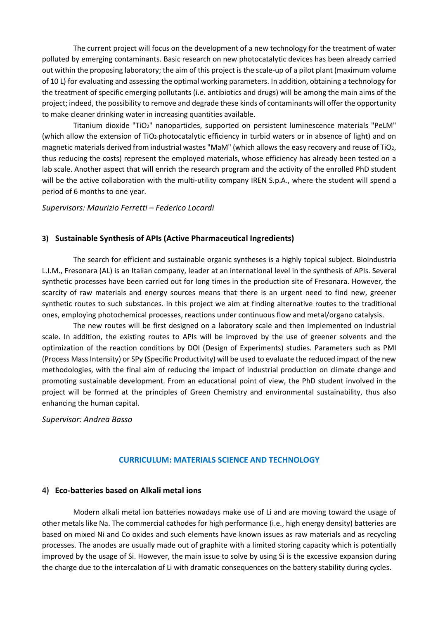The current project will focus on the development of a new technology for the treatment of water polluted by emerging contaminants. Basic research on new photocatalytic devices has been already carried out within the proposing laboratory; the aim of this project is the scale-up of a pilot plant (maximum volume of 10 L) for evaluating and assessing the optimal working parameters. In addition, obtaining a technology for the treatment of specific emerging pollutants (i.e. antibiotics and drugs) will be among the main aims of the project; indeed, the possibility to remove and degrade these kinds of contaminants will offer the opportunity to make cleaner drinking water in increasing quantities available.

Titanium dioxide "TiO2" nanoparticles, supported on persistent luminescence materials "PeLM" (which allow the extension of TiO2 photocatalytic efficiency in turbid waters or in absence of light) and on magnetic materials derived from industrial wastes "MaM" (which allows the easy recovery and reuse of TiO2, thus reducing the costs) represent the employed materials, whose efficiency has already been tested on a lab scale. Another aspect that will enrich the research program and the activity of the enrolled PhD student will be the active collaboration with the multi-utility company IREN S.p.A., where the student will spend a period of 6 months to one year.

#### *Supervisors: Maurizio Ferretti – Federico Locardi*

#### **3) Sustainable Synthesis of APIs (Active Pharmaceutical Ingredients)**

The search for efficient and sustainable organic syntheses is a highly topical subject. Bioindustria L.I.M., Fresonara (AL) is an Italian company, leader at an international level in the synthesis of APIs. Several synthetic processes have been carried out for long times in the production site of Fresonara. However, the scarcity of raw materials and energy sources means that there is an urgent need to find new, greener synthetic routes to such substances. In this project we aim at finding alternative routes to the traditional ones, employing photochemical processes, reactions under continuous flow and metal/organo catalysis.

The new routes will be first designed on a laboratory scale and then implemented on industrial scale. In addition, the existing routes to APIs will be improved by the use of greener solvents and the optimization of the reaction conditions by DOI (Design of Experiments) studies. Parameters such as PMI (Process Mass Intensity) or SPy (Specific Productivity) will be used to evaluate the reduced impact of the new methodologies, with the final aim of reducing the impact of industrial production on climate change and promoting sustainable development. From an educational point of view, the PhD student involved in the project will be formed at the principles of Green Chemistry and environmental sustainability, thus also enhancing the human capital.

#### *Supervisor: Andrea Basso*

#### **CURRICULUM: MATERIALS SCIENCE AND TECHNOLOGY**

#### **4) Eco-batteries based on Alkali metal ions**

Modern alkali metal ion batteries nowadays make use of Li and are moving toward the usage of other metals like Na. The commercial cathodes for high performance (i.e., high energy density) batteries are based on mixed Ni and Co oxides and such elements have known issues as raw materials and as recycling processes. The anodes are usually made out of graphite with a limited storing capacity which is potentially improved by the usage of Si. However, the main issue to solve by using Si is the excessive expansion during the charge due to the intercalation of Li with dramatic consequences on the battery stability during cycles.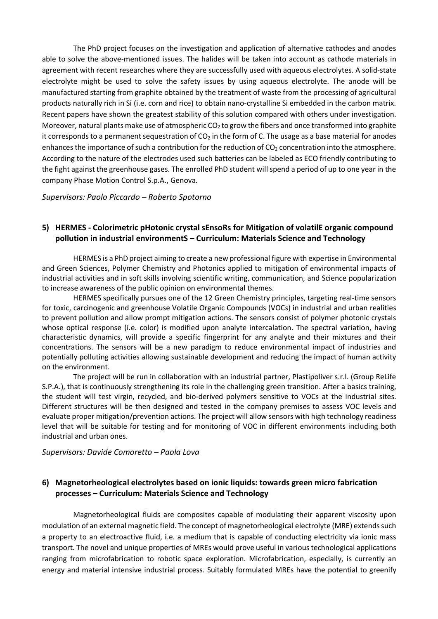The PhD project focuses on the investigation and application of alternative cathodes and anodes able to solve the above-mentioned issues. The halides will be taken into account as cathode materials in agreement with recent researches where they are successfully used with aqueous electrolytes. A solid-state electrolyte might be used to solve the safety issues by using aqueous electrolyte. The anode will be manufactured starting from graphite obtained by the treatment of waste from the processing of agricultural products naturally rich in Si (i.e. corn and rice) to obtain nano-crystalline Si embedded in the carbon matrix. Recent papers have shown the greatest stability of this solution compared with others under investigation. Moreover, natural plants make use of atmospheric  $CO<sub>2</sub>$  to grow the fibers and once transformed into graphite it corresponds to a permanent sequestration of  $CO<sub>2</sub>$  in the form of C. The usage as a base material for anodes enhances the importance of such a contribution for the reduction of  $CO<sub>2</sub>$  concentration into the atmosphere. According to the nature of the electrodes used such batteries can be labeled as ECO friendly contributing to the fight against the greenhouse gases. The enrolled PhD student will spend a period of up to one year in the company Phase Motion Control S.p.A., Genova.

*Supervisors: Paolo Piccardo – Roberto Spotorno*

## **5) HERMES - Colorimetric pHotonic crystal sEnsoRs for Mitigation of volatilE organic compound pollution in industrial environmentS – Curriculum: Materials Science and Technology**

HERMES is a PhD project aiming to create a new professional figure with expertise in Environmental and Green Sciences, Polymer Chemistry and Photonics applied to mitigation of environmental impacts of industrial activities and in soft skills involving scientific writing, communication, and Science popularization to increase awareness of the public opinion on environmental themes.

HERMES specifically pursues one of the 12 Green Chemistry principles, targeting real-time sensors for toxic, carcinogenic and greenhouse Volatile Organic Compounds (VOCs) in industrial and urban realities to prevent pollution and allow prompt mitigation actions. The sensors consist of polymer photonic crystals whose optical response (i.e. color) is modified upon analyte intercalation. The spectral variation, having characteristic dynamics, will provide a specific fingerprint for any analyte and their mixtures and their concentrations. The sensors will be a new paradigm to reduce environmental impact of industries and potentially polluting activities allowing sustainable development and reducing the impact of human activity on the environment.

The project will be run in collaboration with an industrial partner, Plastipoliver s.r.l. (Group ReLife S.P.A.), that is continuously strengthening its role in the challenging green transition. After a basics training, the student will test virgin, recycled, and bio-derived polymers sensitive to VOCs at the industrial sites. Different structures will be then designed and tested in the company premises to assess VOC levels and evaluate proper mitigation/prevention actions. The project will allow sensors with high technology readiness level that will be suitable for testing and for monitoring of VOC in different environments including both industrial and urban ones.

*Supervisors: Davide Comoretto – Paola Lova*

## **6) Magnetorheological electrolytes based on ionic liquids: towards green micro fabrication processes – Curriculum: Materials Science and Technology**

Magnetorheological fluids are composites capable of modulating their apparent viscosity upon modulation of an external magnetic field. The concept of magnetorheological electrolyte (MRE) extends such a property to an electroactive fluid, i.e. a medium that is capable of conducting electricity via ionic mass transport. The novel and unique properties of MREs would prove useful in various technological applications ranging from microfabrication to robotic space exploration. Microfabrication, especially, is currently an energy and material intensive industrial process. Suitably formulated MREs have the potential to greenify